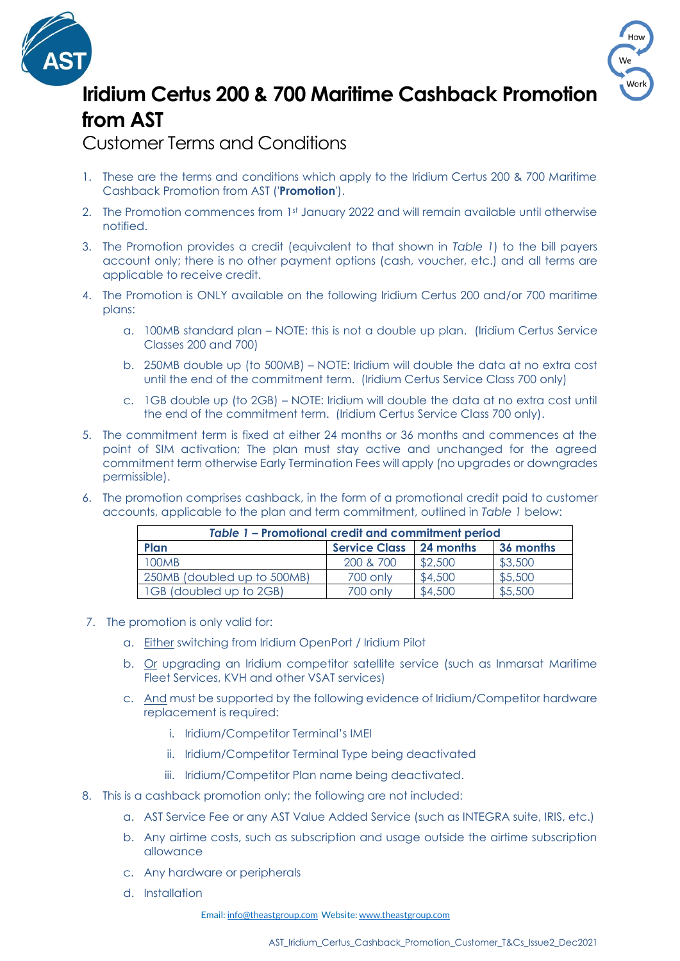



## **Iridium Certus 200 & 700 Maritime Cashback Promotion from AST**

Customer Terms and Conditions

- 1. These are the terms and conditions which apply to the Iridium Certus 200 & 700 Maritime Cashback Promotion from AST ('**Promotion**').
- 2. The Promotion commences from 1st January 2022 and will remain available until otherwise notified.
- 3. The Promotion provides a credit (equivalent to that shown in *Table 1*) to the bill payers account only; there is no other payment options (cash, voucher, etc.) and all terms are applicable to receive credit.
- 4. The Promotion is ONLY available on the following Iridium Certus 200 and/or 700 maritime plans:
	- a. 100MB standard plan NOTE: this is not a double up plan. (Iridium Certus Service Classes 200 and 700)
	- b. 250MB double up (to 500MB) NOTE: Iridium will double the data at no extra cost until the end of the commitment term. (Iridium Certus Service Class 700 only)
	- c. 1GB double up (to 2GB) NOTE: Iridium will double the data at no extra cost until the end of the commitment term. (Iridium Certus Service Class 700 only).
- 5. The commitment term is fixed at either 24 months or 36 months and commences at the point of SIM activation; The plan must stay active and unchanged for the agreed commitment term otherwise Early Termination Fees will apply (no upgrades or downgrades permissible).
- 6. The promotion comprises cashback, in the form of a promotional credit paid to customer accounts, applicable to the plan and term commitment, outlined in *Table 1* below:

| Table 1 - Promotional credit and commitment period |                      |           |           |
|----------------------------------------------------|----------------------|-----------|-----------|
| Plan                                               | <b>Service Class</b> | 24 months | 36 months |
| <b>100MB</b>                                       | 200 & 700            | \$2,500   | \$3,500   |
| 250MB (doubled up to 500MB)                        | 700 only             | \$4,500   | \$5,500   |
| 1GB (doubled up to 2GB)                            | 700 only             | \$4,500   | \$5,500   |

- 7. The promotion is only valid for:
	- a. Either switching from Iridium OpenPort / Iridium Pilot
	- b. Or upgrading an Iridium competitor satellite service (such as Inmarsat Maritime Fleet Services, KVH and other VSAT services)
	- c. And must be supported by the following evidence of Iridium/Competitor hardware replacement is required:
		- i. Iridium/Competitor Terminal's IMEI
		- ii. Iridium/Competitor Terminal Type being deactivated
		- iii. Iridium/Competitor Plan name being deactivated.
- 8. This is a cashback promotion only; the following are not included:
	- a. AST Service Fee or any AST Value Added Service (such as INTEGRA suite, IRIS, etc.)
	- b. Any airtime costs, such as subscription and usage outside the airtime subscription allowance
	- c. Any hardware or peripherals
	- d. Installation